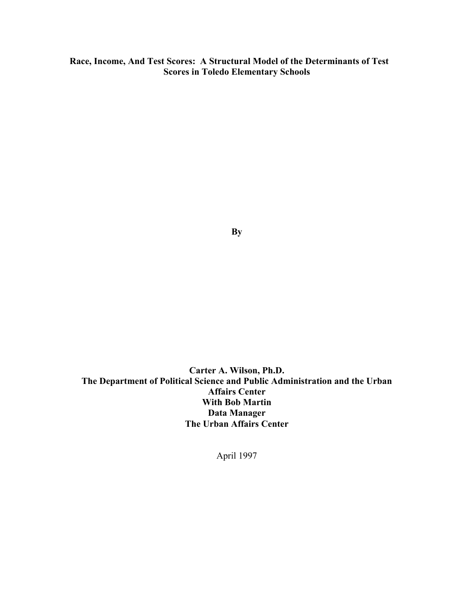**Race, Income, And Test Scores: A Structural Model of the Determinants of Test Scores in Toledo Elementary Schools** 

**By** 

**Carter A. Wilson, Ph.D. The Department of Political Science and Public Administration and the Urban Affairs Center With Bob Martin Data Manager The Urban Affairs Center** 

April 1997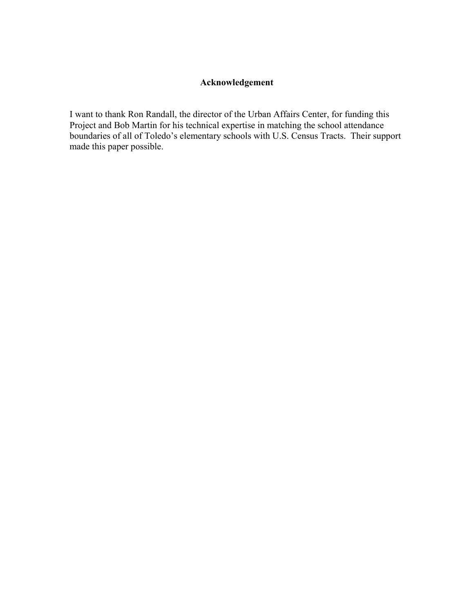## **Acknowledgement**

I want to thank Ron Randall, the director of the Urban Affairs Center, for funding this Project and Bob Martin for his technical expertise in matching the school attendance boundaries of all of Toledo's elementary schools with U.S. Census Tracts. Their support made this paper possible.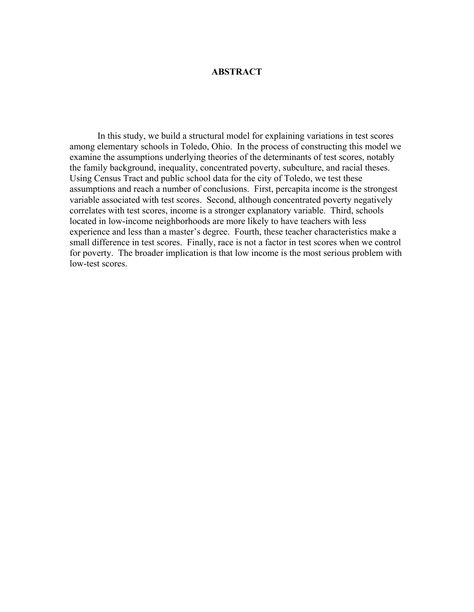#### **ABSTRACT**

 In this study, we build a structural model for explaining variations in test scores among elementary schools in Toledo, Ohio. In the process of constructing this model we examine the assumptions underlying theories of the determinants of test scores, notably the family background, inequality, concentrated poverty, subculture, and racial theses. Using Census Tract and public school data for the city of Toledo, we test these assumptions and reach a number of conclusions. First, percapita income is the strongest variable associated with test scores. Second, although concentrated poverty negatively correlates with test scores, income is a stronger explanatory variable. Third, schools located in low-income neighborhoods are more likely to have teachers with less experience and less than a master's degree. Fourth, these teacher characteristics make a small difference in test scores. Finally, race is not a factor in test scores when we control for poverty. The broader implication is that low income is the most serious problem with low-test scores.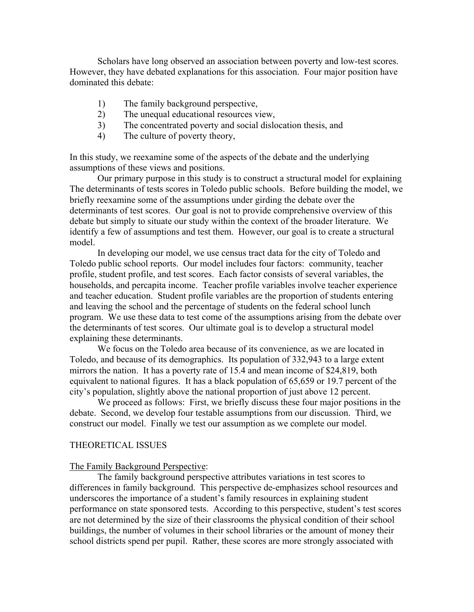Scholars have long observed an association between poverty and low-test scores. However, they have debated explanations for this association. Four major position have dominated this debate:

- 1) The family background perspective,
- 2) The unequal educational resources view,
- 3) The concentrated poverty and social dislocation thesis, and
- 4) The culture of poverty theory,

In this study, we reexamine some of the aspects of the debate and the underlying assumptions of these views and positions.

 Our primary purpose in this study is to construct a structural model for explaining The determinants of tests scores in Toledo public schools. Before building the model, we briefly reexamine some of the assumptions under girding the debate over the determinants of test scores. Our goal is not to provide comprehensive overview of this debate but simply to situate our study within the context of the broader literature. We identify a few of assumptions and test them. However, our goal is to create a structural model.

 In developing our model, we use census tract data for the city of Toledo and Toledo public school reports. Our model includes four factors: community, teacher profile, student profile, and test scores. Each factor consists of several variables, the households, and percapita income. Teacher profile variables involve teacher experience and teacher education. Student profile variables are the proportion of students entering and leaving the school and the percentage of students on the federal school lunch program. We use these data to test come of the assumptions arising from the debate over the determinants of test scores. Our ultimate goal is to develop a structural model explaining these determinants.

 We focus on the Toledo area because of its convenience, as we are located in Toledo, and because of its demographics. Its population of 332,943 to a large extent mirrors the nation. It has a poverty rate of 15.4 and mean income of \$24,819, both equivalent to national figures. It has a black population of 65,659 or 19.7 percent of the city's population, slightly above the national proportion of just above 12 percent.

 We proceed as follows: First, we briefly discuss these four major positions in the debate. Second, we develop four testable assumptions from our discussion. Third, we construct our model. Finally we test our assumption as we complete our model.

#### THEORETICAL ISSUES

#### The Family Background Perspective:

 The family background perspective attributes variations in test scores to differences in family background. This perspective de-emphasizes school resources and underscores the importance of a student's family resources in explaining student performance on state sponsored tests. According to this perspective, student's test scores are not determined by the size of their classrooms the physical condition of their school buildings, the number of volumes in their school libraries or the amount of money their school districts spend per pupil. Rather, these scores are more strongly associated with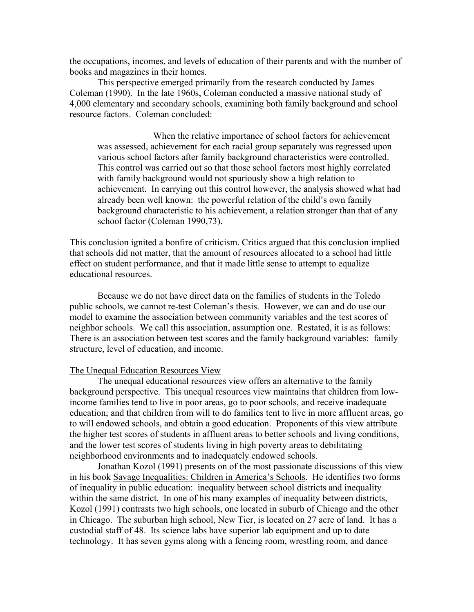the occupations, incomes, and levels of education of their parents and with the number of books and magazines in their homes.

 This perspective emerged primarily from the research conducted by James Coleman (1990). In the late 1960s, Coleman conducted a massive national study of 4,000 elementary and secondary schools, examining both family background and school resource factors. Coleman concluded:

 When the relative importance of school factors for achievement was assessed, achievement for each racial group separately was regressed upon various school factors after family background characteristics were controlled. This control was carried out so that those school factors most highly correlated with family background would not spuriously show a high relation to achievement. In carrying out this control however, the analysis showed what had already been well known: the powerful relation of the child's own family background characteristic to his achievement, a relation stronger than that of any school factor (Coleman 1990,73).

This conclusion ignited a bonfire of criticism. Critics argued that this conclusion implied that schools did not matter, that the amount of resources allocated to a school had little effect on student performance, and that it made little sense to attempt to equalize educational resources.

 Because we do not have direct data on the families of students in the Toledo public schools, we cannot re-test Coleman's thesis. However, we can and do use our model to examine the association between community variables and the test scores of neighbor schools. We call this association, assumption one. Restated, it is as follows: There is an association between test scores and the family background variables: family structure, level of education, and income.

#### The Unequal Education Resources View

 The unequal educational resources view offers an alternative to the family background perspective. This unequal resources view maintains that children from lowincome families tend to live in poor areas, go to poor schools, and receive inadequate education; and that children from will to do families tent to live in more affluent areas, go to will endowed schools, and obtain a good education. Proponents of this view attribute the higher test scores of students in affluent areas to better schools and living conditions, and the lower test scores of students living in high poverty areas to debilitating neighborhood environments and to inadequately endowed schools.

 Jonathan Kozol (1991) presents on of the most passionate discussions of this view in his book Savage Inequalities: Children in America's Schools. He identifies two forms of inequality in public education: inequality between school districts and inequality within the same district. In one of his many examples of inequality between districts, Kozol (1991) contrasts two high schools, one located in suburb of Chicago and the other in Chicago. The suburban high school, New Tier, is located on 27 acre of land. It has a custodial staff of 48. Its science labs have superior lab equipment and up to date technology. It has seven gyms along with a fencing room, wrestling room, and dance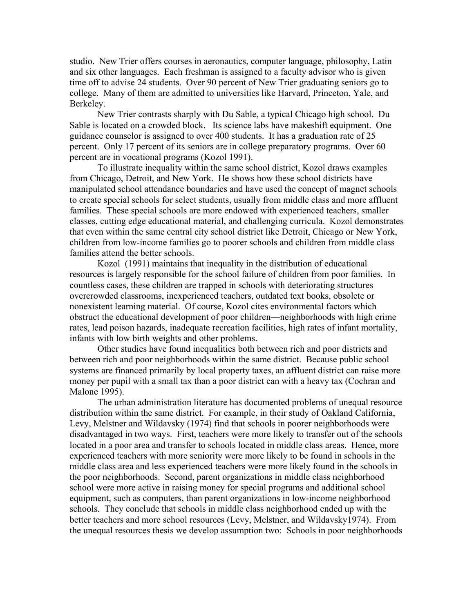studio. New Trier offers courses in aeronautics, computer language, philosophy, Latin and six other languages. Each freshman is assigned to a faculty advisor who is given time off to advise 24 students. Over 90 percent of New Trier graduating seniors go to college. Many of them are admitted to universities like Harvard, Princeton, Yale, and Berkeley.

 New Trier contrasts sharply with Du Sable, a typical Chicago high school. Du Sable is located on a crowded block. Its science labs have makeshift equipment. One guidance counselor is assigned to over 400 students. It has a graduation rate of 25 percent. Only 17 percent of its seniors are in college preparatory programs. Over 60 percent are in vocational programs (Kozol 1991).

 To illustrate inequality within the same school district, Kozol draws examples from Chicago, Detroit, and New York. He shows how these school districts have manipulated school attendance boundaries and have used the concept of magnet schools to create special schools for select students, usually from middle class and more affluent families. These special schools are more endowed with experienced teachers, smaller classes, cutting edge educational material, and challenging curricula. Kozol demonstrates that even within the same central city school district like Detroit, Chicago or New York, children from low-income families go to poorer schools and children from middle class families attend the better schools.

 Kozol (1991) maintains that inequality in the distribution of educational resources is largely responsible for the school failure of children from poor families. In countless cases, these children are trapped in schools with deteriorating structures overcrowded classrooms, inexperienced teachers, outdated text books, obsolete or nonexistent learning material. Of course, Kozol cites environmental factors which obstruct the educational development of poor children—neighborhoods with high crime rates, lead poison hazards, inadequate recreation facilities, high rates of infant mortality, infants with low birth weights and other problems.

 Other studies have found inequalities both between rich and poor districts and between rich and poor neighborhoods within the same district. Because public school systems are financed primarily by local property taxes, an affluent district can raise more money per pupil with a small tax than a poor district can with a heavy tax (Cochran and Malone 1995).

 The urban administration literature has documented problems of unequal resource distribution within the same district. For example, in their study of Oakland California, Levy, Melstner and Wildavsky (1974) find that schools in poorer neighborhoods were disadvantaged in two ways. First, teachers were more likely to transfer out of the schools located in a poor area and transfer to schools located in middle class areas. Hence, more experienced teachers with more seniority were more likely to be found in schools in the middle class area and less experienced teachers were more likely found in the schools in the poor neighborhoods. Second, parent organizations in middle class neighborhood school were more active in raising money for special programs and additional school equipment, such as computers, than parent organizations in low-income neighborhood schools. They conclude that schools in middle class neighborhood ended up with the better teachers and more school resources (Levy, Melstner, and Wildavsky1974). From the unequal resources thesis we develop assumption two: Schools in poor neighborhoods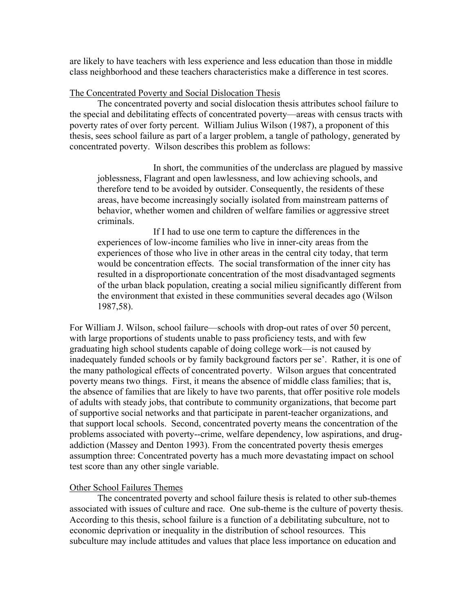are likely to have teachers with less experience and less education than those in middle class neighborhood and these teachers characteristics make a difference in test scores.

#### The Concentrated Poverty and Social Dislocation Thesis

 The concentrated poverty and social dislocation thesis attributes school failure to the special and debilitating effects of concentrated poverty—areas with census tracts with poverty rates of over forty percent. William Julius Wilson (1987), a proponent of this thesis, sees school failure as part of a larger problem, a tangle of pathology, generated by concentrated poverty. Wilson describes this problem as follows:

 In short, the communities of the underclass are plagued by massive joblessness, Flagrant and open lawlessness, and low achieving schools, and therefore tend to be avoided by outsider. Consequently, the residents of these areas, have become increasingly socially isolated from mainstream patterns of behavior, whether women and children of welfare families or aggressive street criminals.

 If I had to use one term to capture the differences in the experiences of low-income families who live in inner-city areas from the experiences of those who live in other areas in the central city today, that term would be concentration effects. The social transformation of the inner city has resulted in a disproportionate concentration of the most disadvantaged segments of the urban black population, creating a social milieu significantly different from the environment that existed in these communities several decades ago (Wilson 1987,58).

For William J. Wilson, school failure—schools with drop-out rates of over 50 percent, with large proportions of students unable to pass proficiency tests, and with few graduating high school students capable of doing college work—is not caused by inadequately funded schools or by family background factors per se'. Rather, it is one of the many pathological effects of concentrated poverty. Wilson argues that concentrated poverty means two things. First, it means the absence of middle class families; that is, the absence of families that are likely to have two parents, that offer positive role models of adults with steady jobs, that contribute to community organizations, that become part of supportive social networks and that participate in parent-teacher organizations, and that support local schools. Second, concentrated poverty means the concentration of the problems associated with poverty--crime, welfare dependency, low aspirations, and drugaddiction (Massey and Denton 1993). From the concentrated poverty thesis emerges assumption three: Concentrated poverty has a much more devastating impact on school test score than any other single variable.

#### Other School Failures Themes

 The concentrated poverty and school failure thesis is related to other sub-themes associated with issues of culture and race. One sub-theme is the culture of poverty thesis. According to this thesis, school failure is a function of a debilitating subculture, not to economic deprivation or inequality in the distribution of school resources. This subculture may include attitudes and values that place less importance on education and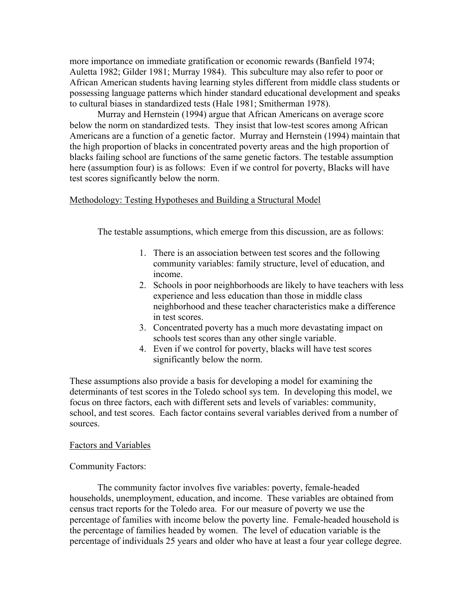more importance on immediate gratification or economic rewards (Banfield 1974; Auletta 1982; Gilder 1981; Murray 1984). This subculture may also refer to poor or African American students having learning styles different from middle class students or possessing language patterns which hinder standard educational development and speaks to cultural biases in standardized tests (Hale 1981; Smitherman 1978).

 Murray and Hernstein (1994) argue that African Americans on average score below the norm on standardized tests. They insist that low-test scores among African Americans are a function of a genetic factor. Murray and Hernstein (1994) maintain that the high proportion of blacks in concentrated poverty areas and the high proportion of blacks failing school are functions of the same genetic factors. The testable assumption here (assumption four) is as follows: Even if we control for poverty, Blacks will have test scores significantly below the norm.

## Methodology: Testing Hypotheses and Building a Structural Model

The testable assumptions, which emerge from this discussion, are as follows:

- 1. There is an association between test scores and the following community variables: family structure, level of education, and income.
- 2. Schools in poor neighborhoods are likely to have teachers with less experience and less education than those in middle class neighborhood and these teacher characteristics make a difference in test scores.
- 3. Concentrated poverty has a much more devastating impact on schools test scores than any other single variable.
- 4. Even if we control for poverty, blacks will have test scores significantly below the norm.

These assumptions also provide a basis for developing a model for examining the determinants of test scores in the Toledo school sys tem. In developing this model, we focus on three factors, each with different sets and levels of variables: community, school, and test scores. Each factor contains several variables derived from a number of sources.

## Factors and Variables

## Community Factors:

The community factor involves five variables: poverty, female-headed households, unemployment, education, and income. These variables are obtained from census tract reports for the Toledo area. For our measure of poverty we use the percentage of families with income below the poverty line. Female-headed household is the percentage of families headed by women. The level of education variable is the percentage of individuals 25 years and older who have at least a four year college degree.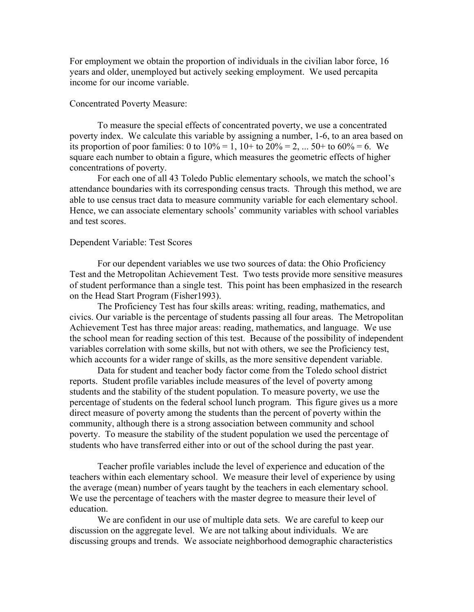For employment we obtain the proportion of individuals in the civilian labor force, 16 years and older, unemployed but actively seeking employment. We used percapita income for our income variable.

#### Concentrated Poverty Measure:

 To measure the special effects of concentrated poverty, we use a concentrated poverty index. We calculate this variable by assigning a number, 1-6, to an area based on its proportion of poor families: 0 to  $10\% = 1$ ,  $10 +$  to  $20\% = 2$ , ...  $50 +$  to  $60\% = 6$ . We square each number to obtain a figure, which measures the geometric effects of higher concentrations of poverty.

 For each one of all 43 Toledo Public elementary schools, we match the school's attendance boundaries with its corresponding census tracts. Through this method, we are able to use census tract data to measure community variable for each elementary school. Hence, we can associate elementary schools' community variables with school variables and test scores.

#### Dependent Variable: Test Scores

 For our dependent variables we use two sources of data: the Ohio Proficiency Test and the Metropolitan Achievement Test. Two tests provide more sensitive measures of student performance than a single test. This point has been emphasized in the research on the Head Start Program (Fisher1993).

 The Proficiency Test has four skills areas: writing, reading, mathematics, and civics. Our variable is the percentage of students passing all four areas. The Metropolitan Achievement Test has three major areas: reading, mathematics, and language. We use the school mean for reading section of this test. Because of the possibility of independent variables correlation with some skills, but not with others, we see the Proficiency test, which accounts for a wider range of skills, as the more sensitive dependent variable.

 Data for student and teacher body factor come from the Toledo school district reports. Student profile variables include measures of the level of poverty among students and the stability of the student population. To measure poverty, we use the percentage of students on the federal school lunch program. This figure gives us a more direct measure of poverty among the students than the percent of poverty within the community, although there is a strong association between community and school poverty. To measure the stability of the student population we used the percentage of students who have transferred either into or out of the school during the past year.

 Teacher profile variables include the level of experience and education of the teachers within each elementary school. We measure their level of experience by using the average (mean) number of years taught by the teachers in each elementary school. We use the percentage of teachers with the master degree to measure their level of education.

 We are confident in our use of multiple data sets. We are careful to keep our discussion on the aggregate level. We are not talking about individuals. We are discussing groups and trends. We associate neighborhood demographic characteristics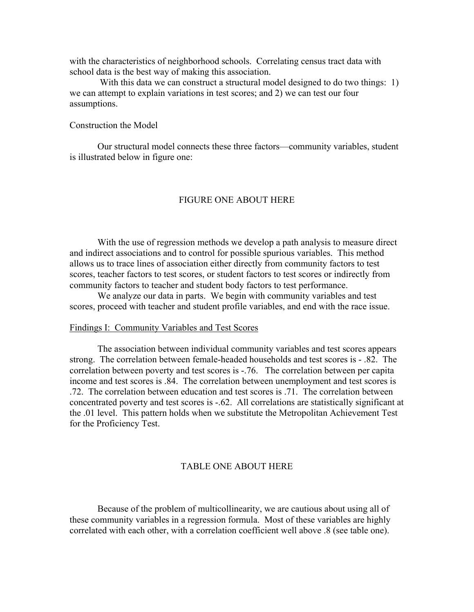with the characteristics of neighborhood schools. Correlating census tract data with school data is the best way of making this association.

With this data we can construct a structural model designed to do two things: 1) we can attempt to explain variations in test scores; and 2) we can test our four assumptions.

## Construction the Model

 Our structural model connects these three factors—community variables, student is illustrated below in figure one:

### FIGURE ONE ABOUT HERE

 With the use of regression methods we develop a path analysis to measure direct and indirect associations and to control for possible spurious variables. This method allows us to trace lines of association either directly from community factors to test scores, teacher factors to test scores, or student factors to test scores or indirectly from community factors to teacher and student body factors to test performance.

 We analyze our data in parts. We begin with community variables and test scores, proceed with teacher and student profile variables, and end with the race issue.

#### Findings I: Community Variables and Test Scores

 The association between individual community variables and test scores appears strong. The correlation between female-headed households and test scores is - .82. The correlation between poverty and test scores is -.76. The correlation between per capita income and test scores is .84. The correlation between unemployment and test scores is .72. The correlation between education and test scores is .71. The correlation between concentrated poverty and test scores is -.62. All correlations are statistically significant at the .01 level. This pattern holds when we substitute the Metropolitan Achievement Test for the Proficiency Test.

#### TABLE ONE ABOUT HERE

 Because of the problem of multicollinearity, we are cautious about using all of these community variables in a regression formula. Most of these variables are highly correlated with each other, with a correlation coefficient well above .8 (see table one).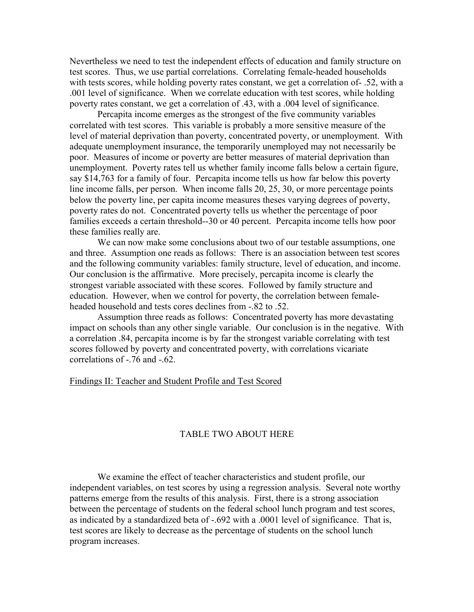Nevertheless we need to test the independent effects of education and family structure on test scores. Thus, we use partial correlations. Correlating female-headed households with tests scores, while holding poverty rates constant, we get a correlation of- .52, with a .001 level of significance. When we correlate education with test scores, while holding poverty rates constant, we get a correlation of .43, with a .004 level of significance.

 Percapita income emerges as the strongest of the five community variables correlated with test scores. This variable is probably a more sensitive measure of the level of material deprivation than poverty, concentrated poverty, or unemployment. With adequate unemployment insurance, the temporarily unemployed may not necessarily be poor. Measures of income or poverty are better measures of material deprivation than unemployment. Poverty rates tell us whether family income falls below a certain figure, say \$14,763 for a family of four. Percapita income tells us how far below this poverty line income falls, per person. When income falls 20, 25, 30, or more percentage points below the poverty line, per capita income measures theses varying degrees of poverty, poverty rates do not. Concentrated poverty tells us whether the percentage of poor families exceeds a certain threshold--30 or 40 percent. Percapita income tells how poor these families really are.

 We can now make some conclusions about two of our testable assumptions, one and three. Assumption one reads as follows: There is an association between test scores and the following community variables: family structure, level of education, and income. Our conclusion is the affirmative. More precisely, percapita income is clearly the strongest variable associated with these scores. Followed by family structure and education. However, when we control for poverty, the correlation between femaleheaded household and tests cores declines from -.82 to .52.

 Assumption three reads as follows: Concentrated poverty has more devastating impact on schools than any other single variable. Our conclusion is in the negative. With a correlation .84, percapita income is by far the strongest variable correlating with test scores followed by poverty and concentrated poverty, with correlations vicariate correlations of -.76 and -.62.

#### Findings II: Teacher and Student Profile and Test Scored

## TABLE TWO ABOUT HERE

 We examine the effect of teacher characteristics and student profile, our independent variables, on test scores by using a regression analysis. Several note worthy patterns emerge from the results of this analysis. First, there is a strong association between the percentage of students on the federal school lunch program and test scores, as indicated by a standardized beta of -.692 with a .0001 level of significance. That is, test scores are likely to decrease as the percentage of students on the school lunch program increases.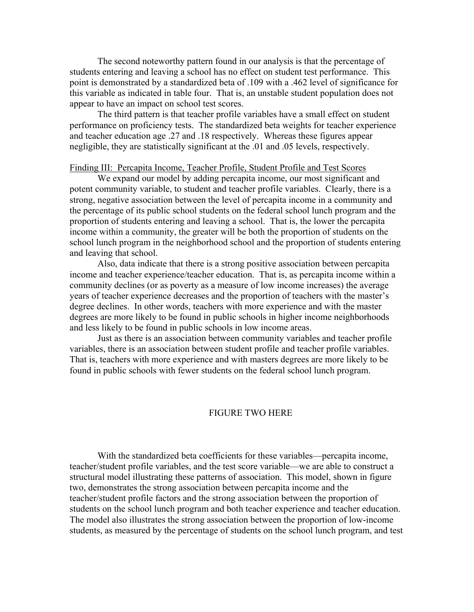The second noteworthy pattern found in our analysis is that the percentage of students entering and leaving a school has no effect on student test performance. This point is demonstrated by a standardized beta of .109 with a .462 level of significance for this variable as indicated in table four. That is, an unstable student population does not appear to have an impact on school test scores.

 The third pattern is that teacher profile variables have a small effect on student performance on proficiency tests. The standardized beta weights for teacher experience and teacher education age .27 and .18 respectively. Whereas these figures appear negligible, they are statistically significant at the .01 and .05 levels, respectively.

#### Finding III: Percapita Income, Teacher Profile, Student Profile and Test Scores

 We expand our model by adding percapita income, our most significant and potent community variable, to student and teacher profile variables. Clearly, there is a strong, negative association between the level of percapita income in a community and the percentage of its public school students on the federal school lunch program and the proportion of students entering and leaving a school. That is, the lower the percapita income within a community, the greater will be both the proportion of students on the school lunch program in the neighborhood school and the proportion of students entering and leaving that school.

 Also, data indicate that there is a strong positive association between percapita income and teacher experience/teacher education. That is, as percapita income within a community declines (or as poverty as a measure of low income increases) the average years of teacher experience decreases and the proportion of teachers with the master's degree declines. In other words, teachers with more experience and with the master degrees are more likely to be found in public schools in higher income neighborhoods and less likely to be found in public schools in low income areas.

 Just as there is an association between community variables and teacher profile variables, there is an association between student profile and teacher profile variables. That is, teachers with more experience and with masters degrees are more likely to be found in public schools with fewer students on the federal school lunch program.

#### FIGURE TWO HERE

 With the standardized beta coefficients for these variables—percapita income, teacher/student profile variables, and the test score variable—we are able to construct a structural model illustrating these patterns of association. This model, shown in figure two, demonstrates the strong association between percapita income and the teacher/student profile factors and the strong association between the proportion of students on the school lunch program and both teacher experience and teacher education. The model also illustrates the strong association between the proportion of low-income students, as measured by the percentage of students on the school lunch program, and test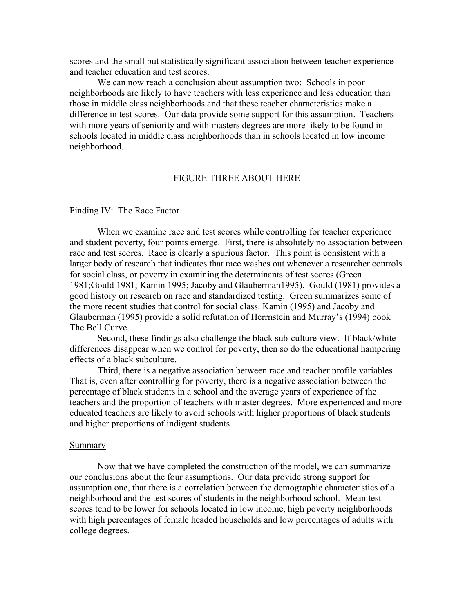scores and the small but statistically significant association between teacher experience and teacher education and test scores.

 We can now reach a conclusion about assumption two: Schools in poor neighborhoods are likely to have teachers with less experience and less education than those in middle class neighborhoods and that these teacher characteristics make a difference in test scores. Our data provide some support for this assumption. Teachers with more years of seniority and with masters degrees are more likely to be found in schools located in middle class neighborhoods than in schools located in low income neighborhood.

#### FIGURE THREE ABOUT HERE

#### Finding IV: The Race Factor

 When we examine race and test scores while controlling for teacher experience and student poverty, four points emerge. First, there is absolutely no association between race and test scores. Race is clearly a spurious factor. This point is consistent with a larger body of research that indicates that race washes out whenever a researcher controls for social class, or poverty in examining the determinants of test scores (Green 1981;Gould 1981; Kamin 1995; Jacoby and Glauberman1995). Gould (1981) provides a good history on research on race and standardized testing. Green summarizes some of the more recent studies that control for social class. Kamin (1995) and Jacoby and Glauberman (1995) provide a solid refutation of Herrnstein and Murray's (1994) book The Bell Curve.

 Second, these findings also challenge the black sub-culture view. If black/white differences disappear when we control for poverty, then so do the educational hampering effects of a black subculture.

 Third, there is a negative association between race and teacher profile variables. That is, even after controlling for poverty, there is a negative association between the percentage of black students in a school and the average years of experience of the teachers and the proportion of teachers with master degrees. More experienced and more educated teachers are likely to avoid schools with higher proportions of black students and higher proportions of indigent students.

#### **Summary**

 Now that we have completed the construction of the model, we can summarize our conclusions about the four assumptions. Our data provide strong support for assumption one, that there is a correlation between the demographic characteristics of a neighborhood and the test scores of students in the neighborhood school. Mean test scores tend to be lower for schools located in low income, high poverty neighborhoods with high percentages of female headed households and low percentages of adults with college degrees.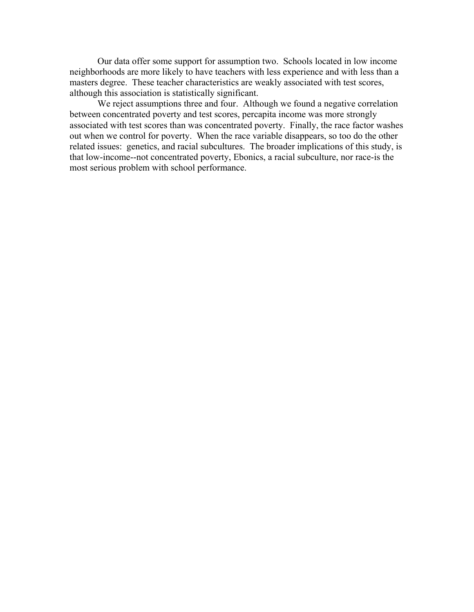Our data offer some support for assumption two. Schools located in low income neighborhoods are more likely to have teachers with less experience and with less than a masters degree. These teacher characteristics are weakly associated with test scores, although this association is statistically significant.

We reject assumptions three and four. Although we found a negative correlation between concentrated poverty and test scores, percapita income was more strongly associated with test scores than was concentrated poverty. Finally, the race factor washes out when we control for poverty. When the race variable disappears, so too do the other related issues: genetics, and racial subcultures. The broader implications of this study, is that low-income--not concentrated poverty, Ebonics, a racial subculture, nor race-is the most serious problem with school performance.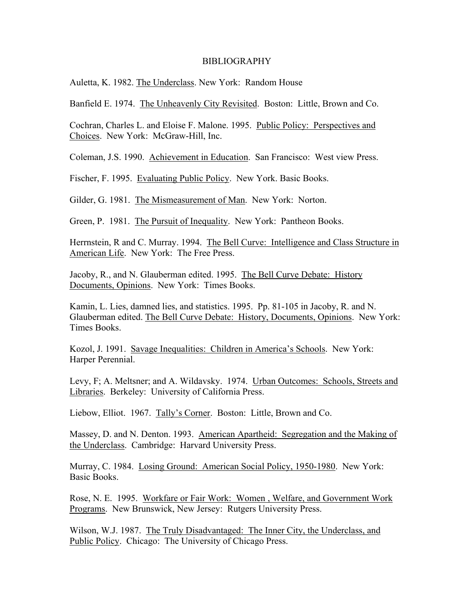#### BIBLIOGRAPHY

Auletta, K. 1982. The Underclass. New York: Random House

Banfield E. 1974. The Unheavenly City Revisited. Boston: Little, Brown and Co.

Cochran, Charles L. and Eloise F. Malone. 1995. Public Policy: Perspectives and Choices. New York: McGraw-Hill, Inc.

Coleman, J.S. 1990. Achievement in Education. San Francisco: West view Press.

Fischer, F. 1995. Evaluating Public Policy. New York. Basic Books.

Gilder, G. 1981. The Mismeasurement of Man. New York: Norton.

Green, P. 1981. The Pursuit of Inequality. New York: Pantheon Books.

Herrnstein, R and C. Murray. 1994. The Bell Curve: Intelligence and Class Structure in American Life. New York: The Free Press.

Jacoby, R., and N. Glauberman edited. 1995. The Bell Curve Debate: History Documents, Opinions. New York: Times Books.

Kamin, L. Lies, damned lies, and statistics. 1995. Pp. 81-105 in Jacoby, R. and N. Glauberman edited. The Bell Curve Debate: History, Documents, Opinions. New York: Times Books.

Kozol, J. 1991. Savage Inequalities: Children in America's Schools. New York: Harper Perennial.

Levy, F; A. Meltsner; and A. Wildavsky. 1974. Urban Outcomes: Schools, Streets and Libraries. Berkeley: University of California Press.

Liebow, Elliot. 1967. Tally's Corner. Boston: Little, Brown and Co.

Massey, D. and N. Denton. 1993. American Apartheid: Segregation and the Making of the Underclass. Cambridge: Harvard University Press.

Murray, C. 1984. Losing Ground: American Social Policy, 1950-1980. New York: Basic Books.

Rose, N. E. 1995. Workfare or Fair Work: Women , Welfare, and Government Work Programs. New Brunswick, New Jersey: Rutgers University Press.

Wilson, W.J. 1987. The Truly Disadvantaged: The Inner City, the Underclass, and Public Policy. Chicago: The University of Chicago Press.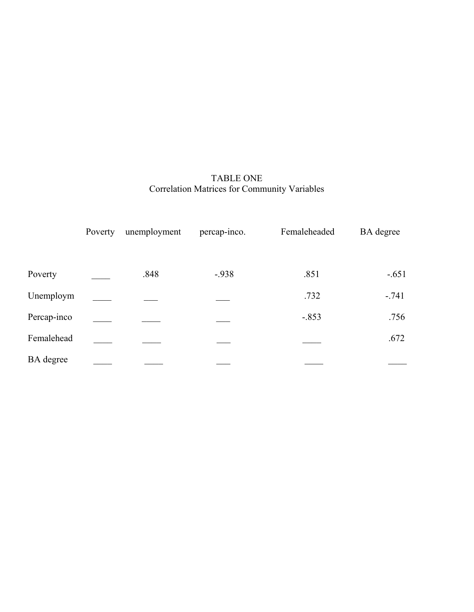## TABLE ONE Correlation Matrices for Community Variables

|                  | Poverty | unemployment | percap-inco. | Femaleheaded | <b>BA</b> degree |
|------------------|---------|--------------|--------------|--------------|------------------|
| Poverty          |         | .848         | $-938$       | .851         | $-.651$          |
| Unemploym        |         |              |              | .732         | $-741$           |
| Percap-inco      |         |              |              | $-.853$      | .756             |
| Femalehead       |         |              |              |              | .672             |
| <b>BA</b> degree |         |              |              |              |                  |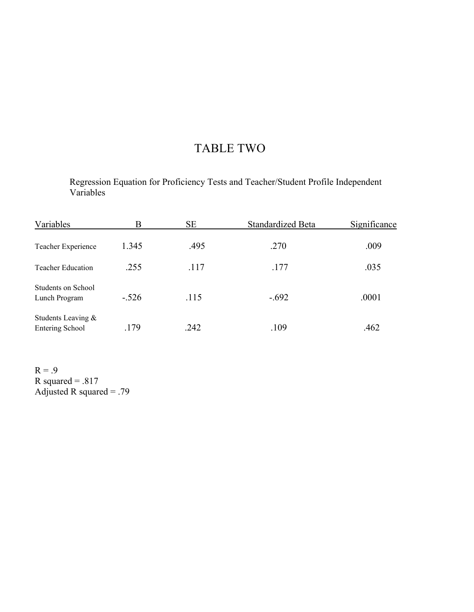# TABLE TWO

Regression Equation for Proficiency Tests and Teacher/Student Profile Independent Variables

| Variables                                |         | <b>SE</b> | Standardized Beta | Significance |
|------------------------------------------|---------|-----------|-------------------|--------------|
| Teacher Experience                       | 1.345   | .495      | .270              | .009         |
| <b>Teacher Education</b>                 | .255    | .117      | .177              | .035         |
| Students on School<br>Lunch Program      | $-.526$ | .115      | $-.692$           | .0001        |
| Students Leaving $\&$<br>Entering School | .179    | .242      | .109              | .462         |

 $R = .9$ R squared =  $.817$ Adjusted R squared =  $.79$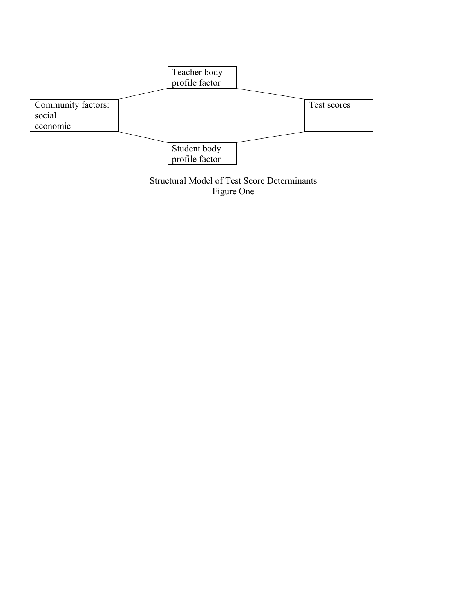

Structural Model of Test Score Determinants Figure One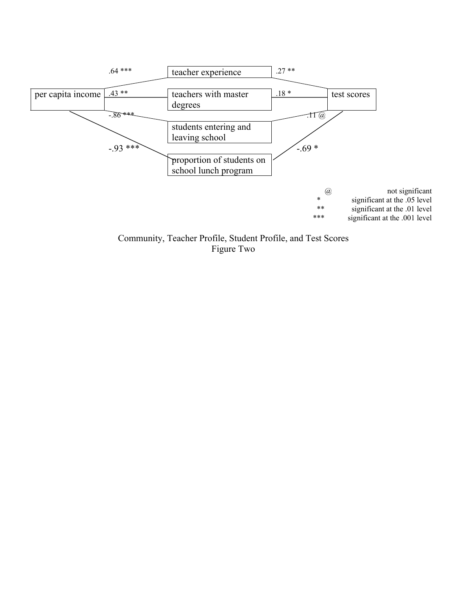

Community, Teacher Profile, Student Profile, and Test Scores Figure Two